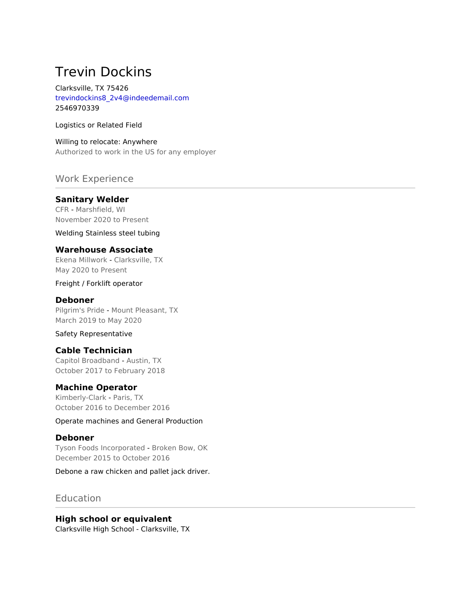# Trevin Dockins

Clarksville, TX 75426 trevindockins8\_2v4@indeedemail.com 2546970339

Logistics or Related Field

Willing to relocate: Anywhere Authorized to work in the US for any employer

## Work Experience

## **Sanitary Welder**

CFR - Marshfield, WI November 2020 to Present

Welding Stainless steel tubing

### **Warehouse Associate**

Ekena Millwork - Clarksville, TX May 2020 to Present

Freight / Forklift operator

#### **Deboner**

Pilgrim's Pride - Mount Pleasant, TX March 2019 to May 2020

#### Safety Representative

## **Cable Technician**

Capitol Broadband - Austin, TX October 2017 to February 2018

#### **Machine Operator**

Kimberly-Clark - Paris, TX October 2016 to December 2016

Operate machines and General Production

#### **Deboner**

Tyson Foods Incorporated - Broken Bow, OK December 2015 to October 2016

Debone a raw chicken and pallet jack driver.

## Education

## **High school or equivalent**

Clarksville High School - Clarksville, TX